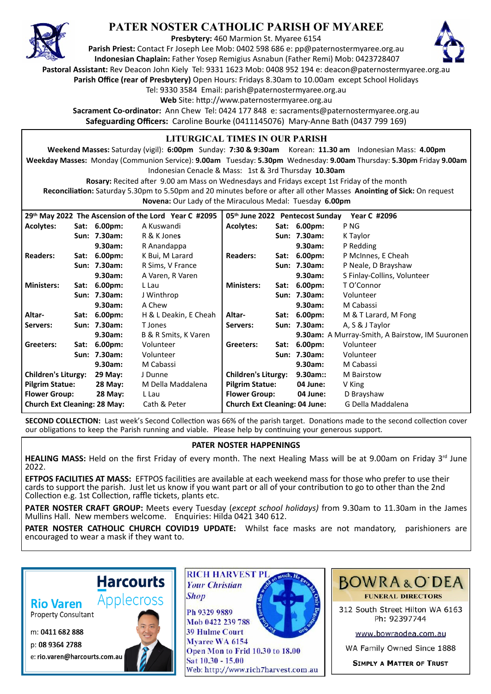

## **PATER NOSTER CATHOLIC PARISH OF MYAREE**

**Presbytery:** 460 Marmion St. Myaree 6154

**Parish Priest:** Contact Fr Joseph Lee Mob: 0402 598 686 e: pp@paternostermyaree.org.au **Indonesian Chaplain:** Father Yosep Remigius Asnabun (Father Remi) Mob: 0423728407



**Pastoral Assistant:** Rev Deacon John Kiely Tel: 9331 1623 Mob: 0408 952 194 e: deacon@paternostermyaree.org.au

**Parish Office (rear of Presbytery)** Open Hours: Fridays 8.30am to 10.00am except School Holidays

Tel: 9330 3584 Email: parish@paternostermyaree.org.au

Web Site: http://www.paternostermyaree.org.au

**Sacrament Co-ordinator:** Ann Chew Tel: 0424 177 848 e: sacraments@paternostermyaree.org.au **Safeguarding Officers:** Caroline Bourke (0411145076) Mary-Anne Bath (0437 799 169)

## **LITURGICAL TIMES IN OUR PARISH**

**Weekend Masses:** Saturday (vigil): **6:00pm** Sunday: **7:30 & 9:30am** Korean: **11.30 am** Indonesian Mass: **4.00pm Weekday Masses:** Monday (Communion Service): **9.00am** Tuesday: **5.30pm** Wednesday: **9.00am** Thursday: **5.30pm** Friday **9.00am** Indonesian Cenacle & Mass: 1st & 3rd Thursday **10.30am**

**Rosary:** Recited a�er 9.00 am Mass on Wednesdays and Fridays except 1st Friday of the month Reconciliation: Saturday 5.30pm to 5.50pm and 20 minutes before or after all other Masses Anointing of Sick: On request **Novena:** Our Lady of the Miraculous Medal: Tuesday **6.00pm**

|                                     |      | 29th May 2022 The Ascension of the Lord Year C #2095 | 05th June 2022 Pentecost Sunday<br>Year C #2096 |                                      |      |                    |                                                 |
|-------------------------------------|------|------------------------------------------------------|-------------------------------------------------|--------------------------------------|------|--------------------|-------------------------------------------------|
| <b>Acolytes:</b>                    |      | Sat: 6.00pm:                                         | A Kuswandi                                      | <b>Acolytes:</b>                     |      | Sat: 6.00pm:       | P <sub>NG</sub>                                 |
|                                     |      | Sun: 7.30am:                                         | R & K Jones                                     |                                      |      | Sun: 7.30am:       | K Taylor                                        |
|                                     |      | 9.30am:                                              | R Anandappa                                     |                                      |      | 9.30am:            | P Redding                                       |
| <b>Readers:</b>                     |      | Sat: 6.00pm:                                         | K Bui, M Larard                                 | <b>Readers:</b>                      |      | Sat: 6.00pm:       | P McInnes, E Cheah                              |
|                                     |      | Sun: 7.30am:                                         | R Sims, V France                                |                                      |      | Sun: 7.30am:       | P Neale, D Brayshaw                             |
|                                     |      | 9.30am:                                              | A Varen, R Varen                                |                                      |      | 9.30am:            | S Finlay-Collins, Volunteer                     |
| <b>Ministers:</b>                   | Sat: | $6.00pm$ :                                           | L Lau                                           | <b>Ministers:</b>                    |      | Sat: 6.00pm:       | T O'Connor                                      |
|                                     |      | Sun: 7.30am:                                         | J Winthrop                                      |                                      |      | Sun: 7.30am:       | Volunteer                                       |
|                                     |      | 9.30am:                                              | A Chew                                          |                                      |      | 9.30am:            | M Cabassi                                       |
| Altar-                              |      | Sat: 6.00pm:                                         | H & L Deakin, E Cheah                           | Altar-                               |      | Sat: 6.00pm:       | M & T Larard, M Fong                            |
| Servers:                            |      | Sun: 7.30am:                                         | T Jones                                         | Servers:                             |      | Sun: 7.30am:       | A, S & J Taylor                                 |
|                                     |      | 9.30am:                                              | B & R Smits, K Varen                            |                                      |      |                    | 9.30am: A Murray-Smith, A Bairstow, IM Suuronen |
| Greeters:                           | Sat: | 6.00 <sub>pm</sub>                                   | Volunteer                                       | Greeters:                            | Sat: | 6.00 <sub>pm</sub> | Volunteer                                       |
|                                     |      | Sun: 7.30am:                                         | Volunteer                                       |                                      |      | Sun: 7.30am:       | Volunteer                                       |
|                                     |      | 9.30am:                                              | M Cabassi                                       |                                      |      | 9.30am:            | M Cabassi                                       |
| <b>Children's Liturgy:</b>          |      | 29 May:                                              | J Dunne                                         | <b>Children's Liturgy:</b>           |      | $9.30$ am::        | M Bairstow                                      |
| <b>Pilgrim Statue:</b>              |      | <b>28 May:</b>                                       | M Della Maddalena                               | <b>Pilgrim Statue:</b>               |      | 04 June:           | V King                                          |
| <b>Flower Group:</b>                |      | 28 May:                                              | L Lau                                           | <b>Flower Group:</b>                 |      | 04 June:           | D Brayshaw                                      |
| <b>Church Ext Cleaning: 28 May:</b> |      |                                                      | Cath & Peter                                    | <b>Church Ext Cleaning: 04 June:</b> |      |                    | G Della Maddalena                               |

**SECOND COLLECTION:** Last week's Second Collection was 66% of the parish target. Donations made to the second collection cover our obligations to keep the Parish running and viable. Please help by continuing your generous support.

## **PATER NOSTER HAPPENINGS**

**HEALING MASS:** Held on the first Friday of every month. The next Healing Mass will be at 9.00am on Friday 3<sup>rd</sup> June 2022.

**EFTPOS FACILITIES AT MASS:** EFTPOS facili�es are available at each weekend mass for those who prefer to use their cards to support the parish. Just let us know if you want part or all of your contribution to go to other than the 2nd Collection e.g. 1st Collection, raffle tickets, plants etc.

**PATER NOSTER CRAFT GROUP:** Meets every Tuesday (*except school holidays)* from 9.30am to 11.30am in the James Mullins Hall. New members welcome. Enquiries: Hilda 0421 340 612.

**PATER NOSTER CATHOLIC CHURCH COVID19 UPDATE:** Whilst face masks are not mandatory, parishioners are encouraged to wear a mask if they want to.

## **Rio Varen**

**Property Consultant** 

m: 0411 682 888

p: 08 9364 2788



**Harcourts** 

Applecross



Myaree WA 6154 Open Mon to Frid 10.30 to 18.00 Sat 10.30 - 15.00 Web: http://www.rich7harvest.com.au



312 South Street Hilton WA 6163 Ph: 92397744

www.bowraodea.com.au

WA Family Owned Since 1888

**SIMPLY A MATTER OF TRUST**